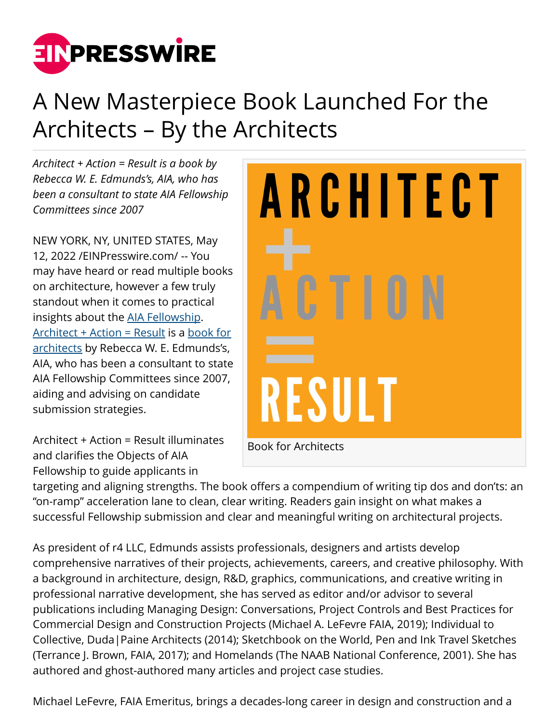

## A New Masterpiece Book Launched For the Architects – By the Architects

*Architect + Action = Result is a book by Rebecca W. E. Edmunds's, AIA, who has been a consultant to state AIA Fellowship Committees since 2007*

NEW YORK, NY, UNITED STATES, May 12, 2022 /[EINPresswire.com/](http://www.einpresswire.com) -- You may have heard or read multiple books on architecture, however a few truly standout when it comes to practical insights about the [AIA Fellowship.](https://www.architectactionresult.com/) [Architect + Action = Result](https://www.architectactionresult.com/) is a [book for](https://www.architectactionresult.com/) [architects](https://www.architectactionresult.com/) by Rebecca W. E. Edmunds's, AIA, who has been a consultant to state AIA Fellowship Committees since 2007, aiding and advising on candidate submission strategies.

Architect + Action = Result illuminates and clarifies the Objects of AIA Fellowship to guide applicants in



targeting and aligning strengths. The book offers a compendium of writing tip dos and don'ts: an "on-ramp" acceleration lane to clean, clear writing. Readers gain insight on what makes a successful Fellowship submission and clear and meaningful writing on architectural projects.

As president of r4 LLC, Edmunds assists professionals, designers and artists develop comprehensive narratives of their projects, achievements, careers, and creative philosophy. With a background in architecture, design, R&D, graphics, communications, and creative writing in professional narrative development, she has served as editor and/or advisor to several publications including Managing Design: Conversations, Project Controls and Best Practices for Commercial Design and Construction Projects (Michael A. LeFevre FAIA, 2019); Individual to Collective, Duda|Paine Architects (2014); Sketchbook on the World, Pen and Ink Travel Sketches (Terrance J. Brown, FAIA, 2017); and Homelands (The NAAB National Conference, 2001). She has authored and ghost-authored many articles and project case studies.

Michael LeFevre, FAIA Emeritus, brings a decades-long career in design and construction and a